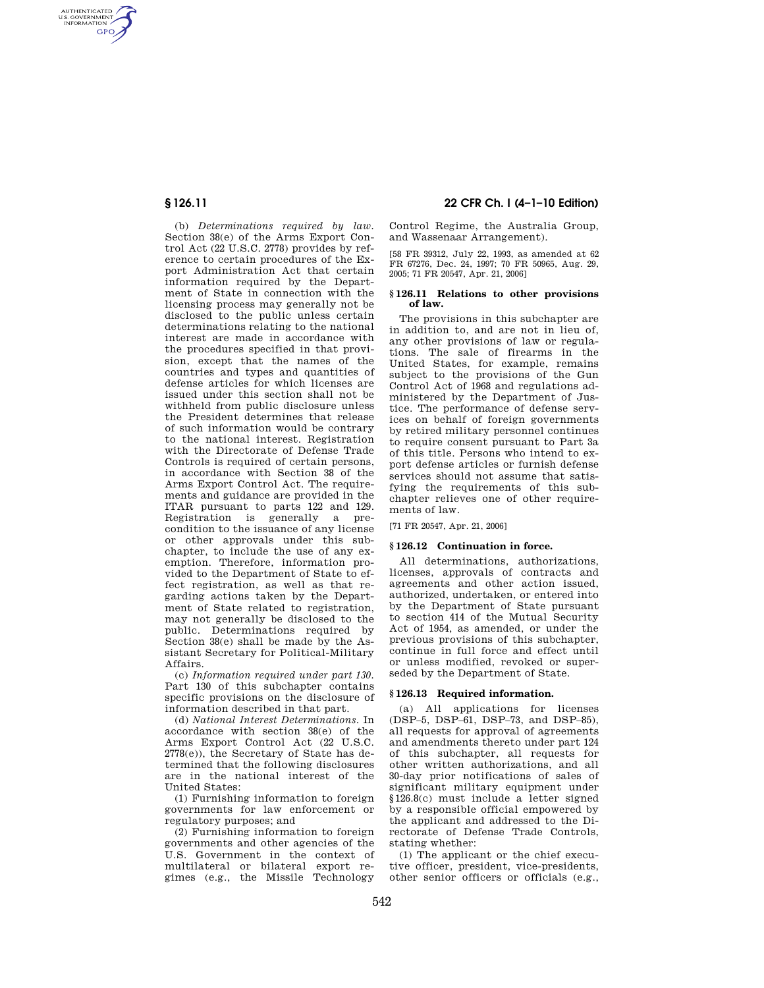AUTHENTICATED<br>U.S. GOVERNMENT<br>INFORMATION **GPO** 

> (b) *Determinations required by law.*  Section 38(e) of the Arms Export Control Act (22 U.S.C. 2778) provides by reference to certain procedures of the Export Administration Act that certain information required by the Department of State in connection with the licensing process may generally not be disclosed to the public unless certain determinations relating to the national interest are made in accordance with the procedures specified in that provision, except that the names of the countries and types and quantities of defense articles for which licenses are issued under this section shall not be withheld from public disclosure unless the President determines that release of such information would be contrary to the national interest. Registration with the Directorate of Defense Trade Controls is required of certain persons, in accordance with Section 38 of the Arms Export Control Act. The requirements and guidance are provided in the ITAR pursuant to parts 122 and 129. Registration is generally a precondition to the issuance of any license or other approvals under this subchapter, to include the use of any exemption. Therefore, information provided to the Department of State to effect registration, as well as that regarding actions taken by the Department of State related to registration, may not generally be disclosed to the public. Determinations required by Section 38(e) shall be made by the Assistant Secretary for Political-Military Affairs.

> (c) *Information required under part 130.*  Part 130 of this subchapter contains specific provisions on the disclosure of information described in that part.

> (d) *National Interest Determinations.* In accordance with section 38(e) of the Arms Export Control Act (22 U.S.C. 2778(e)), the Secretary of State has determined that the following disclosures are in the national interest of the United States:

> (1) Furnishing information to foreign governments for law enforcement or regulatory purposes; and

> (2) Furnishing information to foreign governments and other agencies of the U.S. Government in the context of multilateral or bilateral export regimes (e.g., the Missile Technology

# **§ 126.11 22 CFR Ch. I (4–1–10 Edition)**

Control Regime, the Australia Group, and Wassenaar Arrangement).

[58 FR 39312, July 22, 1993, as amended at 62 FR 67276, Dec. 24, 1997; 70 FR 50965, Aug. 29, 2005; 71 FR 20547, Apr. 21, 2006]

#### **§ 126.11 Relations to other provisions of law.**

The provisions in this subchapter are in addition to, and are not in lieu of, any other provisions of law or regulations. The sale of firearms in the United States, for example, remains subject to the provisions of the Gun Control Act of 1968 and regulations administered by the Department of Justice. The performance of defense services on behalf of foreign governments by retired military personnel continues to require consent pursuant to Part 3a of this title. Persons who intend to export defense articles or furnish defense services should not assume that satisfying the requirements of this subchapter relieves one of other requirements of law.

[71 FR 20547, Apr. 21, 2006]

#### **§ 126.12 Continuation in force.**

All determinations, authorizations, licenses, approvals of contracts and agreements and other action issued, authorized, undertaken, or entered into by the Department of State pursuant to section 414 of the Mutual Security Act of 1954, as amended, or under the previous provisions of this subchapter, continue in full force and effect until or unless modified, revoked or superseded by the Department of State.

#### **§ 126.13 Required information.**

(a) All applications for licenses (DSP–5, DSP–61, DSP–73, and DSP–85), all requests for approval of agreements and amendments thereto under part 124 of this subchapter, all requests for other written authorizations, and all 30-day prior notifications of sales of significant military equipment under §126.8(c) must include a letter signed by a responsible official empowered by the applicant and addressed to the Directorate of Defense Trade Controls, stating whether:

(1) The applicant or the chief executive officer, president, vice-presidents, other senior officers or officials (e.g.,